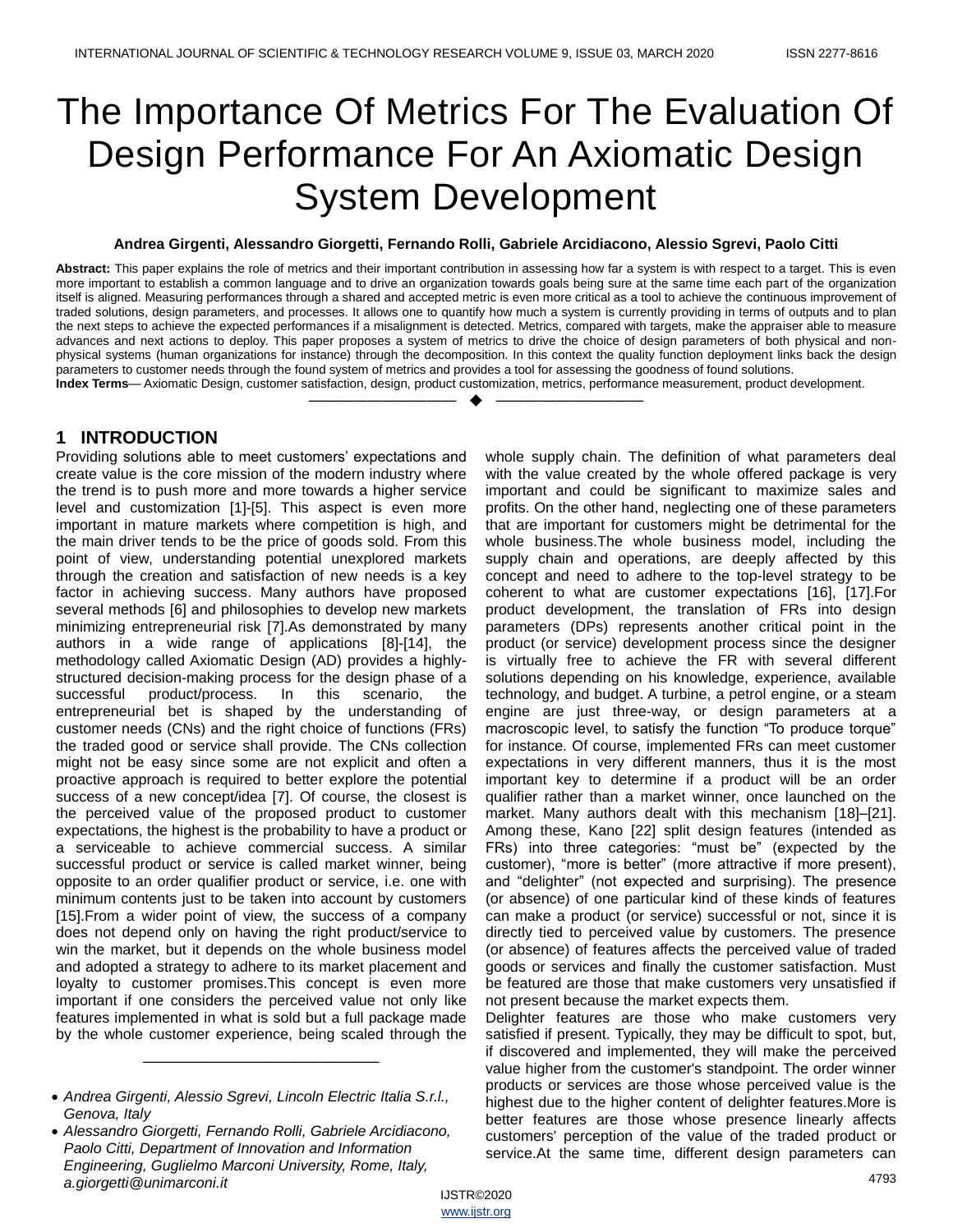# The Importance Of Metrics For The Evaluation Of Design Performance For An Axiomatic Design System Development

#### **Andrea Girgenti, Alessandro Giorgetti, Fernando Rolli, Gabriele Arcidiacono, Alessio Sgrevi, Paolo Citti**

**Abstract:** This paper explains the role of metrics and their important contribution in assessing how far a system is with respect to a target. This is even more important to establish a common language and to drive an organization towards goals being sure at the same time each part of the organization itself is aligned. Measuring performances through a shared and accepted metric is even more critical as a tool to achieve the continuous improvement of traded solutions, design parameters, and processes. It allows one to quantify how much a system is currently providing in terms of outputs and to plan the next steps to achieve the expected performances if a misalignment is detected. Metrics, compared with targets, make the appraiser able to measure advances and next actions to deploy. This paper proposes a system of metrics to drive the choice of design parameters of both physical and nonphysical systems (human organizations for instance) through the decomposition. In this context the quality function deployment links back the design parameters to customer needs through the found system of metrics and provides a tool for assessing the goodness of found solutions.

**Index Terms**— Axiomatic Design, customer satisfaction, design, product customization, metrics, performance measurement, product development. —————————— ——————————

## **1 INTRODUCTION**

Providing solutions able to meet customers' expectations and create value is the core mission of the modern industry where the trend is to push more and more towards a higher service level and customization [1]-[5]. This aspect is even more important in mature markets where competition is high, and the main driver tends to be the price of goods sold. From this point of view, understanding potential unexplored markets through the creation and satisfaction of new needs is a key factor in achieving success. Many authors have proposed several methods [6] and philosophies to develop new markets minimizing entrepreneurial risk [7].As demonstrated by many authors in a wide range of applications [8]-[14], the methodology called Axiomatic Design (AD) provides a highlystructured decision-making process for the design phase of a successful product/process. In this scenario, the entrepreneurial bet is shaped by the understanding of customer needs (CNs) and the right choice of functions (FRs) the traded good or service shall provide. The CNs collection might not be easy since some are not explicit and often a proactive approach is required to better explore the potential success of a new concept/idea [7]. Of course, the closest is the perceived value of the proposed product to customer expectations, the highest is the probability to have a product or a serviceable to achieve commercial success. A similar successful product or service is called market winner, being opposite to an order qualifier product or service, i.e. one with minimum contents just to be taken into account by customers [15].From a wider point of view, the success of a company does not depend only on having the right product/service to win the market, but it depends on the whole business model and adopted a strategy to adhere to its market placement and loyalty to customer promises.This concept is even more important if one considers the perceived value not only like features implemented in what is sold but a full package made by the whole customer experience, being scaled through the

————————————————

whole supply chain. The definition of what parameters deal with the value created by the whole offered package is very important and could be significant to maximize sales and profits. On the other hand, neglecting one of these parameters that are important for customers might be detrimental for the whole business.The whole business model, including the supply chain and operations, are deeply affected by this concept and need to adhere to the top-level strategy to be coherent to what are customer expectations [16], [17].For product development, the translation of FRs into design parameters (DPs) represents another critical point in the product (or service) development process since the designer is virtually free to achieve the FR with several different solutions depending on his knowledge, experience, available technology, and budget. A turbine, a petrol engine, or a steam engine are just three-way, or design parameters at a macroscopic level, to satisfy the function "To produce torque" for instance. Of course, implemented FRs can meet customer expectations in very different manners, thus it is the most important key to determine if a product will be an order qualifier rather than a market winner, once launched on the market. Many authors dealt with this mechanism [18]–[21]. Among these, Kano [22] split design features (intended as FRs) into three categories: "must be" (expected by the customer), "more is better" (more attractive if more present), and "delighter" (not expected and surprising). The presence (or absence) of one particular kind of these kinds of features can make a product (or service) successful or not, since it is directly tied to perceived value by customers. The presence (or absence) of features affects the perceived value of traded goods or services and finally the customer satisfaction. Must be featured are those that make customers very unsatisfied if not present because the market expects them.

Delighter features are those who make customers very satisfied if present. Typically, they may be difficult to spot, but, if discovered and implemented, they will make the perceived value higher from the customer's standpoint. The order winner products or services are those whose perceived value is the highest due to the higher content of delighter features.More is better features are those whose presence linearly affects customers' perception of the value of the traded product or service.At the same time, different design parameters can

*Andrea Girgenti, Alessio Sgrevi, Lincoln Electric Italia S.r.l., Genova, Italy*

*Alessandro Giorgetti, Fernando Rolli, Gabriele Arcidiacono, Paolo Citti, Department of Innovation and Information Engineering, Guglielmo Marconi University, Rome, Italy, a.giorgetti@unimarconi.it*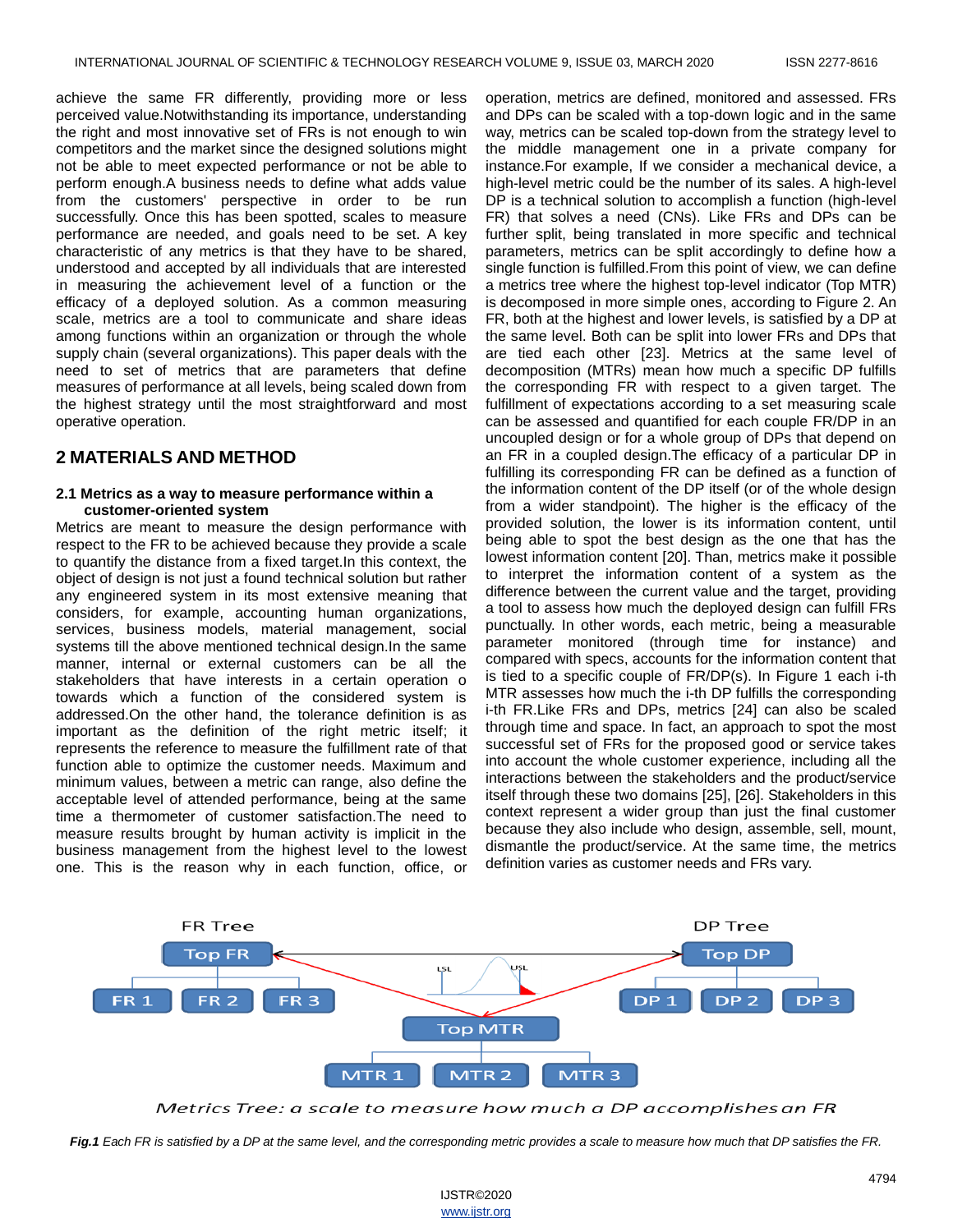achieve the same FR differently, providing more or less perceived value.Notwithstanding its importance, understanding the right and most innovative set of FRs is not enough to win competitors and the market since the designed solutions might not be able to meet expected performance or not be able to perform enough.A business needs to define what adds value from the customers' perspective in order to be run successfully. Once this has been spotted, scales to measure performance are needed, and goals need to be set. A key characteristic of any metrics is that they have to be shared, understood and accepted by all individuals that are interested in measuring the achievement level of a function or the efficacy of a deployed solution. As a common measuring scale, metrics are a tool to communicate and share ideas among functions within an organization or through the whole supply chain (several organizations). This paper deals with the need to set of metrics that are parameters that define measures of performance at all levels, being scaled down from the highest strategy until the most straightforward and most operative operation.

# **2 MATERIALS AND METHOD**

#### **2.1 Metrics as a way to measure performance within a customer-oriented system**

Metrics are meant to measure the design performance with respect to the FR to be achieved because they provide a scale to quantify the distance from a fixed target.In this context, the object of design is not just a found technical solution but rather any engineered system in its most extensive meaning that considers, for example, accounting human organizations, services, business models, material management, social systems till the above mentioned technical design.In the same manner, internal or external customers can be all the stakeholders that have interests in a certain operation o towards which a function of the considered system is addressed.On the other hand, the tolerance definition is as important as the definition of the right metric itself; it represents the reference to measure the fulfillment rate of that function able to optimize the customer needs. Maximum and minimum values, between a metric can range, also define the acceptable level of attended performance, being at the same time a thermometer of customer satisfaction.The need to measure results brought by human activity is implicit in the business management from the highest level to the lowest one. This is the reason why in each function, office, or

operation, metrics are defined, monitored and assessed. FRs and DPs can be scaled with a top-down logic and in the same way, metrics can be scaled top-down from the strategy level to the middle management one in a private company for instance.For example, If we consider a mechanical device, a high-level metric could be the number of its sales. A high-level DP is a technical solution to accomplish a function (high-level FR) that solves a need (CNs). Like FRs and DPs can be further split, being translated in more specific and technical parameters, metrics can be split accordingly to define how a single function is fulfilled.From this point of view, we can define a metrics tree where the highest top-level indicator (Top MTR) is decomposed in more simple ones, according to Figure 2. An FR, both at the highest and lower levels, is satisfied by a DP at the same level. Both can be split into lower FRs and DPs that are tied each other [23]. Metrics at the same level of decomposition (MTRs) mean how much a specific DP fulfills the corresponding FR with respect to a given target. The fulfillment of expectations according to a set measuring scale can be assessed and quantified for each couple FR/DP in an uncoupled design or for a whole group of DPs that depend on an FR in a coupled design.The efficacy of a particular DP in fulfilling its corresponding FR can be defined as a function of the information content of the DP itself (or of the whole design from a wider standpoint). The higher is the efficacy of the provided solution, the lower is its information content, until being able to spot the best design as the one that has the lowest information content [20]. Than, metrics make it possible to interpret the information content of a system as the difference between the current value and the target, providing a tool to assess how much the deployed design can fulfill FRs punctually. In other words, each metric, being a measurable parameter monitored (through time for instance) and compared with specs, accounts for the information content that is tied to a specific couple of FR/DP(s). In Figure 1 each i-th MTR assesses how much the i-th DP fulfills the corresponding i-th FR.Like FRs and DPs, metrics [24] can also be scaled through time and space. In fact, an approach to spot the most successful set of FRs for the proposed good or service takes into account the whole customer experience, including all the interactions between the stakeholders and the product/service itself through these two domains [25], [26]. Stakeholders in this context represent a wider group than just the final customer because they also include who design, assemble, sell, mount, dismantle the product/service. At the same time, the metrics definition varies as customer needs and FRs vary.



Metrics Tree: a scale to measure how much a DP accomplishes an FR

*Fig.1 Each FR is satisfied by a DP at the same level, and the corresponding metric provides a scale to measure how much that DP satisfies the FR.*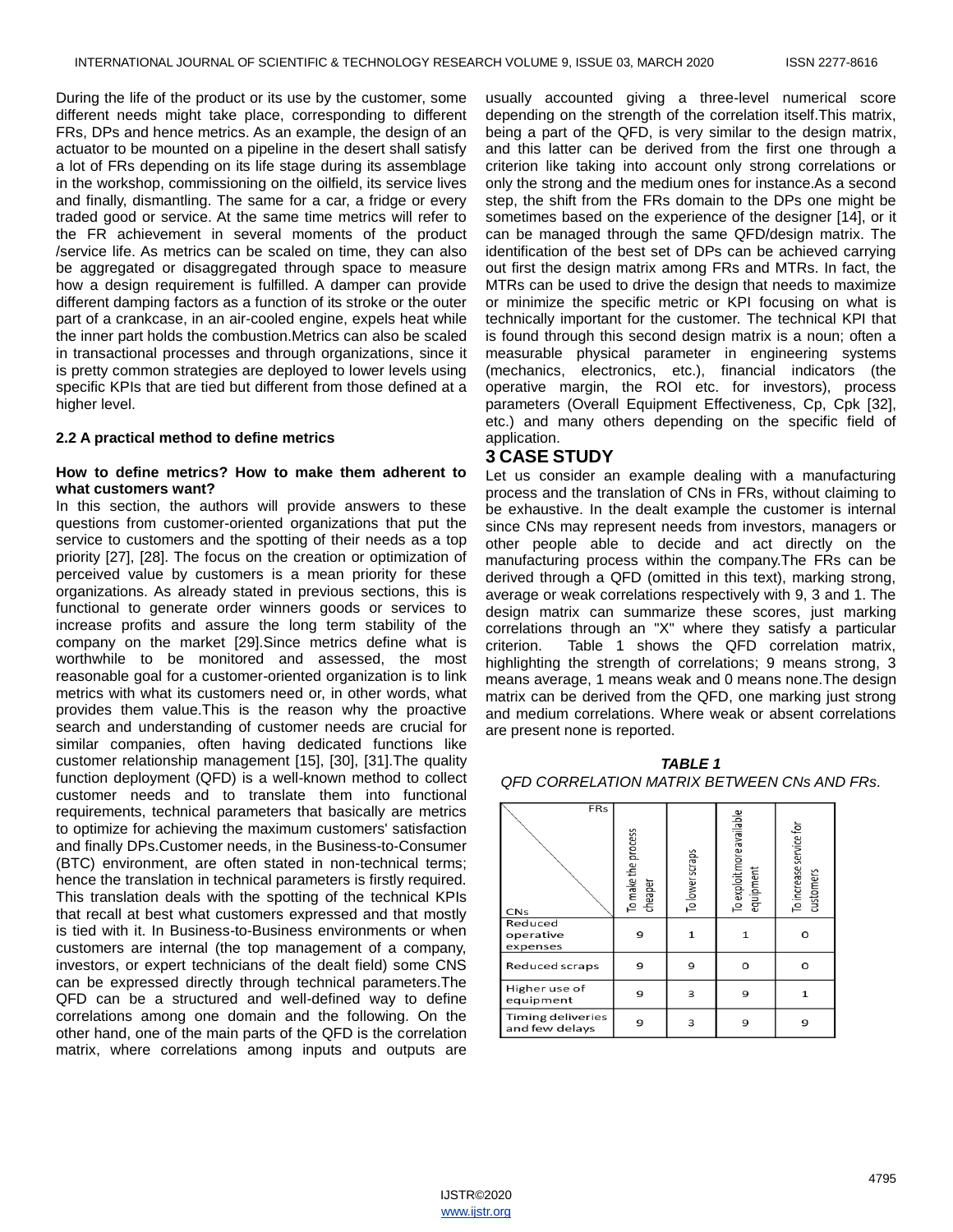During the life of the product or its use by the customer, some different needs might take place, corresponding to different FRs, DPs and hence metrics. As an example, the design of an actuator to be mounted on a pipeline in the desert shall satisfy a lot of FRs depending on its life stage during its assemblage in the workshop, commissioning on the oilfield, its service lives and finally, dismantling. The same for a car, a fridge or every traded good or service. At the same time metrics will refer to the FR achievement in several moments of the product /service life. As metrics can be scaled on time, they can also be aggregated or disaggregated through space to measure how a design requirement is fulfilled. A damper can provide different damping factors as a function of its stroke or the outer part of a crankcase, in an air-cooled engine, expels heat while the inner part holds the combustion.Metrics can also be scaled in transactional processes and through organizations, since it is pretty common strategies are deployed to lower levels using specific KPIs that are tied but different from those defined at a higher level.

#### **2.2 A practical method to define metrics**

#### **How to define metrics? How to make them adherent to what customers want?**

In this section, the authors will provide answers to these questions from customer-oriented organizations that put the service to customers and the spotting of their needs as a top priority [27], [28]. The focus on the creation or optimization of perceived value by customers is a mean priority for these organizations. As already stated in previous sections, this is functional to generate order winners goods or services to increase profits and assure the long term stability of the company on the market [29].Since metrics define what is worthwhile to be monitored and assessed, the most reasonable goal for a customer-oriented organization is to link metrics with what its customers need or, in other words, what provides them value.This is the reason why the proactive search and understanding of customer needs are crucial for similar companies, often having dedicated functions like customer relationship management [15], [30], [31].The quality function deployment (QFD) is a well-known method to collect customer needs and to translate them into functional requirements, technical parameters that basically are metrics to optimize for achieving the maximum customers' satisfaction and finally DPs.Customer needs, in the Business-to-Consumer (BTC) environment, are often stated in non-technical terms; hence the translation in technical parameters is firstly required. This translation deals with the spotting of the technical KPIs that recall at best what customers expressed and that mostly is tied with it. In Business-to-Business environments or when customers are internal (the top management of a company, investors, or expert technicians of the dealt field) some CNS can be expressed directly through technical parameters.The QFD can be a structured and well-defined way to define correlations among one domain and the following. On the other hand, one of the main parts of the QFD is the correlation matrix, where correlations among inputs and outputs are

usually accounted giving a three-level numerical score depending on the strength of the correlation itself.This matrix, being a part of the QFD, is very similar to the design matrix, and this latter can be derived from the first one through a criterion like taking into account only strong correlations or only the strong and the medium ones for instance.As a second step, the shift from the FRs domain to the DPs one might be sometimes based on the experience of the designer [14], or it can be managed through the same QFD/design matrix. The identification of the best set of DPs can be achieved carrying out first the design matrix among FRs and MTRs. In fact, the MTRs can be used to drive the design that needs to maximize or minimize the specific metric or KPI focusing on what is technically important for the customer. The technical KPI that is found through this second design matrix is a noun; often a measurable physical parameter in engineering systems (mechanics, electronics, etc.), financial indicators (the operative margin, the ROI etc. for investors), process parameters (Overall Equipment Effectiveness, Cp, Cpk [32], etc.) and many others depending on the specific field of application.

### **3 CASE STUDY**

Let us consider an example dealing with a manufacturing process and the translation of CNs in FRs, without claiming to be exhaustive. In the dealt example the customer is internal since CNs may represent needs from investors, managers or other people able to decide and act directly on the manufacturing process within the company.The FRs can be derived through a QFD (omitted in this text), marking strong, average or weak correlations respectively with 9, 3 and 1. The design matrix can summarize these scores, just marking correlations through an "X" where they satisfy a particular criterion. Table 1 shows the QFD correlation matrix, highlighting the strength of correlations; 9 means strong, 3 means average, 1 means weak and 0 means none.The design matrix can be derived from the QFD, one marking just strong and medium correlations. Where weak or absent correlations are present none is reported.

| <b>TABLE 1</b>                                     |
|----------------------------------------------------|
| <b>OFD CORRELATION MATRIX BETWEEN CNs AND FRs.</b> |

| FRs<br><b>CNs</b>                   | To make the process<br>cheaper | To lower scraps | To exploit more available<br>equipment | To increase service for<br>customers |  |  |
|-------------------------------------|--------------------------------|-----------------|----------------------------------------|--------------------------------------|--|--|
| Reduced<br>operative<br>expenses    | 9                              | 1               | $\mathbf{1}$                           | O                                    |  |  |
| Reduced scraps                      | 9                              | 9               | o                                      | O                                    |  |  |
| Higher use of<br>equipment          | 9                              | 3               | 9                                      | $\mathbf{1}$                         |  |  |
| Timing deliveries<br>and few delays | 9                              | 3               | 9                                      | 9                                    |  |  |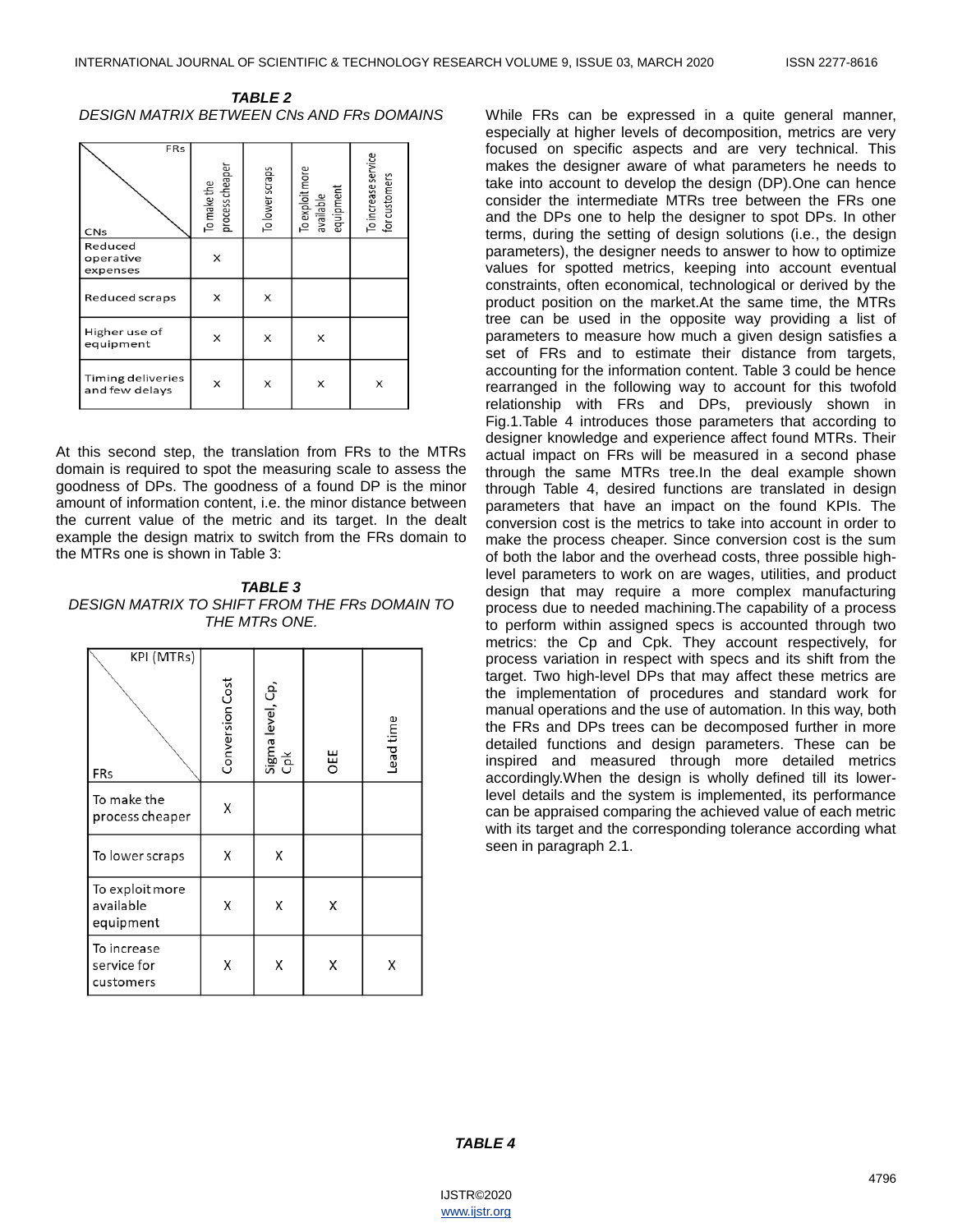*TABLE 2 DESIGN MATRIX BETWEEN CNs AND FRs DOMAINS*

| <b>FRs</b><br><b>CNs</b>            | process cheaper<br>To make the | To lower scraps | To exploit more<br>available<br>equipment | To increase service<br>for customers |
|-------------------------------------|--------------------------------|-----------------|-------------------------------------------|--------------------------------------|
| Reduced<br>operative<br>expenses    | x                              |                 |                                           |                                      |
| Reduced scraps                      | x                              | X               |                                           |                                      |
| Higher use of<br>equipment          | x                              | X               | x                                         |                                      |
| Timing deliveries<br>and few delays | x                              | X               | x                                         | X                                    |

At this second step, the translation from FRs to the MTRs domain is required to spot the measuring scale to assess the goodness of DPs. The goodness of a found DP is the minor amount of information content, i.e. the minor distance between the current value of the metric and its target. In the dealt example the design matrix to switch from the FRs domain to the MTRs one is shown in Table 3:

*TABLE 3 DESIGN MATRIX TO SHIFT FROM THE FRs DOMAIN TO THE MTRs ONE.*

| KPI (MTRs)<br>FRs                         | Conversion Cost | Sigma level, Cp,<br>Cpk | OEE | Lead time |
|-------------------------------------------|-----------------|-------------------------|-----|-----------|
| To make the<br>process cheaper            | Χ               |                         |     |           |
| To lower scraps                           | Χ               | Χ                       |     |           |
| To exploit more<br>available<br>equipment | Χ               | Χ                       | Χ   |           |
| To increase<br>service for<br>customers   | Χ               | Χ                       | Χ   | Χ         |

While FRs can be expressed in a quite general manner, especially at higher levels of decomposition, metrics are very focused on specific aspects and are very technical. This makes the designer aware of what parameters he needs to take into account to develop the design (DP).One can hence consider the intermediate MTRs tree between the FRs one and the DPs one to help the designer to spot DPs. In other terms, during the setting of design solutions (i.e., the design parameters), the designer needs to answer to how to optimize values for spotted metrics, keeping into account eventual constraints, often economical, technological or derived by the product position on the market.At the same time, the MTRs tree can be used in the opposite way providing a list of parameters to measure how much a given design satisfies a set of FRs and to estimate their distance from targets, accounting for the information content. Table 3 could be hence rearranged in the following way to account for this twofold relationship with FRs and DPs, previously shown in Fig.1.Table 4 introduces those parameters that according to designer knowledge and experience affect found MTRs. Their actual impact on FRs will be measured in a second phase through the same MTRs tree.In the deal example shown through Table 4, desired functions are translated in design parameters that have an impact on the found KPIs. The conversion cost is the metrics to take into account in order to make the process cheaper. Since conversion cost is the sum of both the labor and the overhead costs, three possible highlevel parameters to work on are wages, utilities, and product design that may require a more complex manufacturing process due to needed machining.The capability of a process to perform within assigned specs is accounted through two metrics: the Cp and Cpk. They account respectively, for process variation in respect with specs and its shift from the target. Two high-level DPs that may affect these metrics are the implementation of procedures and standard work for manual operations and the use of automation. In this way, both the FRs and DPs trees can be decomposed further in more detailed functions and design parameters. These can be inspired and measured through more detailed metrics accordingly.When the design is wholly defined till its lowerlevel details and the system is implemented, its performance can be appraised comparing the achieved value of each metric with its target and the corresponding tolerance according what seen in paragraph 2.1.

#### *TABLE 4*

IJSTR©2020 www.ijstr.org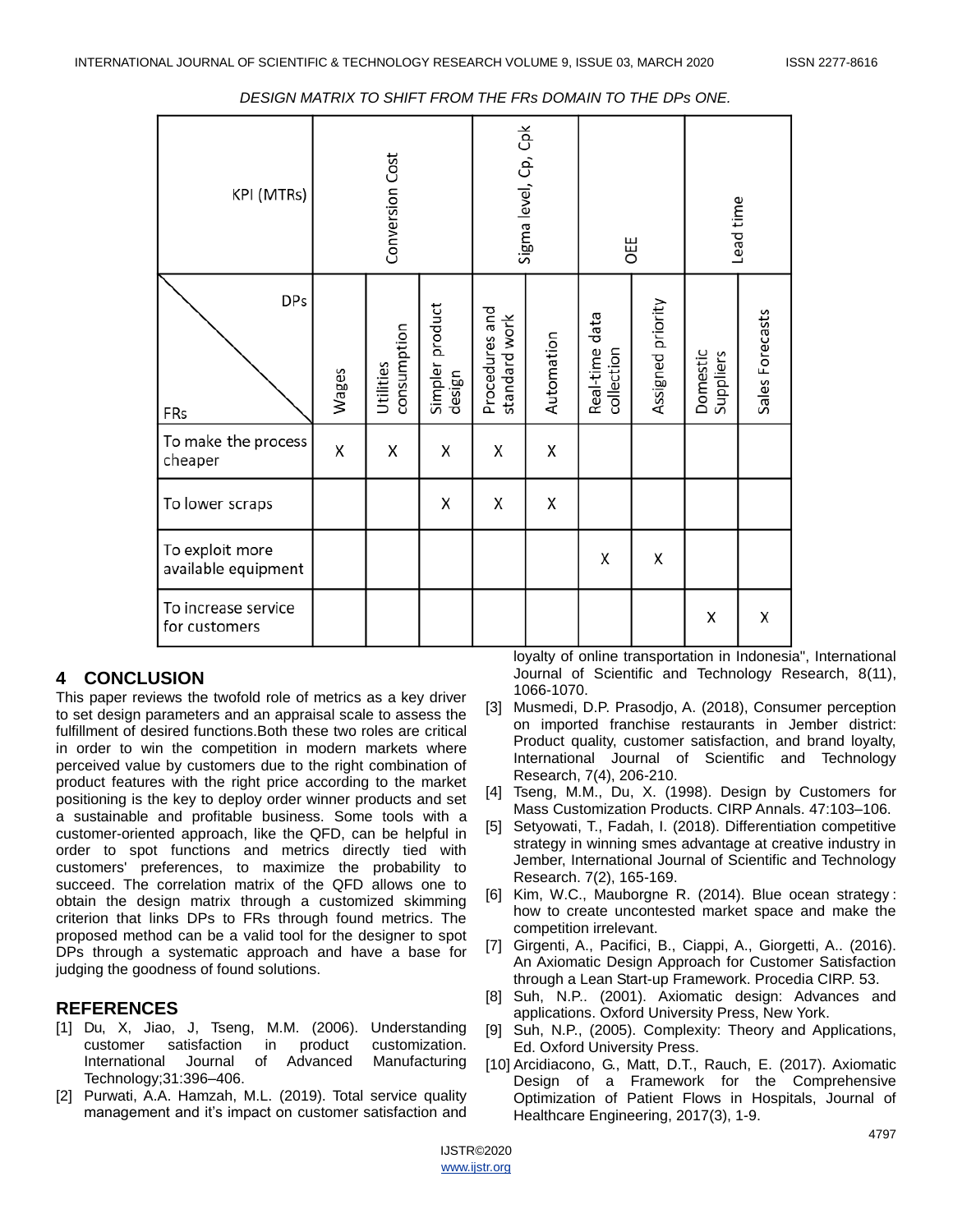| KPI (MTRs)                             | Conversion Cost |                          | Sigma level, Cp, Cpk      |                                 | OEE        |                              | Lead time         |                       |                 |
|----------------------------------------|-----------------|--------------------------|---------------------------|---------------------------------|------------|------------------------------|-------------------|-----------------------|-----------------|
| <b>DPs</b><br>FRs                      | Wages           | consumption<br>Utilities | Simpler product<br>design | Procedures and<br>standard work | Automation | Real-time data<br>collection | Assigned priority | Domestic<br>Suppliers | Sales Forecasts |
| To make the process<br>cheaper         | Χ               | Χ                        | Χ                         | Χ                               | Χ          |                              |                   |                       |                 |
| To lower scraps                        |                 |                          | Χ                         | X                               | Χ          |                              |                   |                       |                 |
| To exploit more<br>available equipment |                 |                          |                           |                                 |            | Χ                            | Χ                 |                       |                 |
| To increase service<br>for customers   |                 |                          |                           |                                 |            |                              |                   | Χ                     | Χ               |

#### *DESIGN MATRIX TO SHIFT FROM THE FRs DOMAIN TO THE DPs ONE.*

# **4 CONCLUSION**

This paper reviews the twofold role of metrics as a key driver to set design parameters and an appraisal scale to assess the fulfillment of desired functions.Both these two roles are critical in order to win the competition in modern markets where perceived value by customers due to the right combination of product features with the right price according to the market positioning is the key to deploy order winner products and set a sustainable and profitable business. Some tools with a customer-oriented approach, like the QFD, can be helpful in order to spot functions and metrics directly tied with customers' preferences, to maximize the probability to succeed. The correlation matrix of the QFD allows one to obtain the design matrix through a customized skimming criterion that links DPs to FRs through found metrics. The proposed method can be a valid tool for the designer to spot DPs through a systematic approach and have a base for judging the goodness of found solutions.

### **REFERENCES**

- [1] Du, X, Jiao, J, Tseng, M.M. (2006). Understanding customer satisfaction in product customization. International Journal of Advanced Manufacturing Technology;31:396–406.
- [2] Purwati, A.A. Hamzah, M.L. (2019). Total service quality management and it's impact on customer satisfaction and

loyalty of online transportation in Indonesia", International Journal of Scientific and Technology Research, 8(11), 1066-1070.

- [3] Musmedi, D.P. Prasodjo, A. (2018), Consumer perception on imported franchise restaurants in Jember district: Product quality, customer satisfaction, and brand loyalty, International Journal of Scientific and Technology Research, 7(4), 206-210.
- [4] Tseng, M.M., Du, X. (1998). Design by Customers for Mass Customization Products. CIRP Annals. 47:103–106.
- [5] Setyowati, T., Fadah, I. (2018). Differentiation competitive strategy in winning smes advantage at creative industry in Jember, International Journal of Scientific and Technology Research. 7(2), 165-169.
- [6] Kim, W.C., Mauborgne R. (2014). Blue ocean strategy : how to create uncontested market space and make the competition irrelevant.
- [7] Girgenti, A., Pacifici, B., Ciappi, A., Giorgetti, A.. (2016). An Axiomatic Design Approach for Customer Satisfaction through a Lean Start-up Framework. Procedia CIRP. 53.
- [8] Suh, N.P.. (2001). Axiomatic design: Advances and applications. Oxford University Press, New York.
- [9] Suh, N.P., (2005). Complexity: Theory and Applications, Ed. Oxford University Press.
- [10] Arcidiacono, G., Matt, D.T., Rauch, E. (2017). Axiomatic Design of a Framework for the Comprehensive Optimization of Patient Flows in Hospitals, Journal of Healthcare Engineering, 2017(3), 1-9.